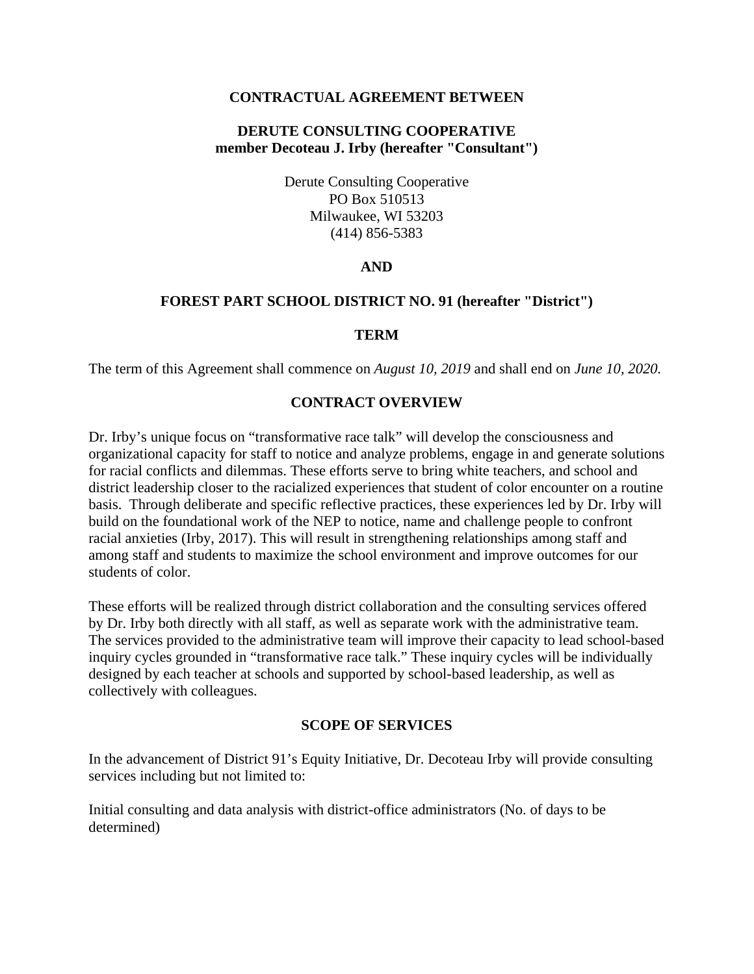### **CONTRACTUAL AGREEMENT BETWEEN**

## **DERUTE CONSULTING COOPERATIVE member Decoteau J. Irby (hereafter "Consultant")**

Derute Consulting Cooperative PO Box 510513 Milwaukee, WI 53203 (414) 856-5383

### **AND**

### **FOREST PART SCHOOL DISTRICT NO. 91 (hereafter "District")**

#### **TERM**

The term of this Agreement shall commence on *August 10, 2019* and shall end on *June 10, 2020.*

### **CONTRACT OVERVIEW**

Dr. Irby's unique focus on "transformative race talk" will develop the consciousness and organizational capacity for staff to notice and analyze problems, engage in and generate solutions for racial conflicts and dilemmas. These efforts serve to bring white teachers, and school and district leadership closer to the racialized experiences that student of color encounter on a routine basis. Through deliberate and specific reflective practices, these experiences led by Dr. Irby will build on the foundational work of the NEP to notice, name and challenge people to confront racial anxieties (Irby, 2017). This will result in strengthening relationships among staff and among staff and students to maximize the school environment and improve outcomes for our students of color.

These efforts will be realized through district collaboration and the consulting services offered by Dr. Irby both directly with all staff, as well as separate work with the administrative team. The services provided to the administrative team will improve their capacity to lead school-based inquiry cycles grounded in "transformative race talk." These inquiry cycles will be individually designed by each teacher at schools and supported by school-based leadership, as well as collectively with colleagues.

### **SCOPE OF SERVICES**

In the advancement of District 91's Equity Initiative, Dr. Decoteau Irby will provide consulting services including but not limited to:

Initial consulting and data analysis with district-office administrators (No. of days to be determined)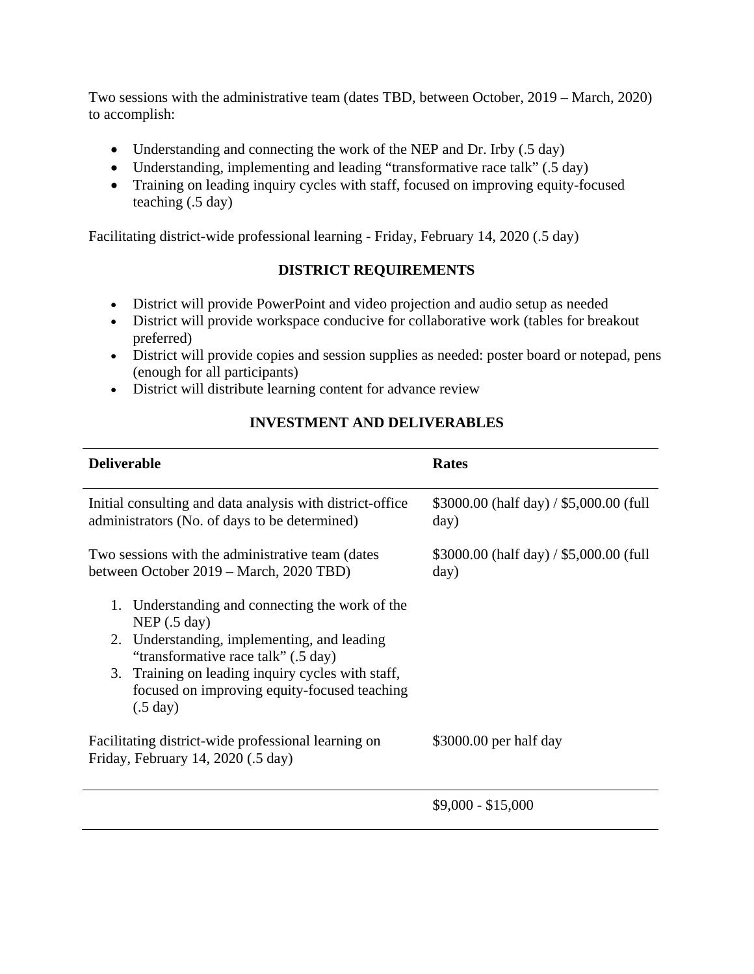Two sessions with the administrative team (dates TBD, between October, 2019 – March, 2020) to accomplish:

- Understanding and connecting the work of the NEP and Dr. Irby (.5 day)
- Understanding, implementing and leading "transformative race talk" (.5 day)
- Training on leading inquiry cycles with staff, focused on improving equity-focused teaching (.5 day)

Facilitating district-wide professional learning - Friday, February 14, 2020 (.5 day)

# **DISTRICT REQUIREMENTS**

- District will provide PowerPoint and video projection and audio setup as needed
- District will provide workspace conducive for collaborative work (tables for breakout preferred)
- District will provide copies and session supplies as needed: poster board or notepad, pens (enough for all participants)
- District will distribute learning content for advance review

# **INVESTMENT AND DELIVERABLES**

| <b>Deliverable</b>                                                                                                                                                                                                                                                                                  | <b>Rates</b>                                    |
|-----------------------------------------------------------------------------------------------------------------------------------------------------------------------------------------------------------------------------------------------------------------------------------------------------|-------------------------------------------------|
| Initial consulting and data analysis with district-office<br>administrators (No. of days to be determined)                                                                                                                                                                                          | \$3000.00 (half day) / \$5,000.00 (full<br>day) |
| Two sessions with the administrative team (dates<br>between October 2019 – March, 2020 TBD)                                                                                                                                                                                                         | \$3000.00 (half day) / \$5,000.00 (full<br>day) |
| Understanding and connecting the work of the<br>1.<br>NEP $(.5 \text{ day})$<br>Understanding, implementing, and leading<br>2.<br>"transformative race talk" (.5 day)<br>Training on leading inquiry cycles with staff,<br>3.<br>focused on improving equity-focused teaching<br>$(.5 \text{ day})$ |                                                 |
| Facilitating district-wide professional learning on<br>Friday, February 14, 2020 (.5 day)                                                                                                                                                                                                           | $$3000.00$ per half day                         |
|                                                                                                                                                                                                                                                                                                     | $$9,000 - $15,000$                              |